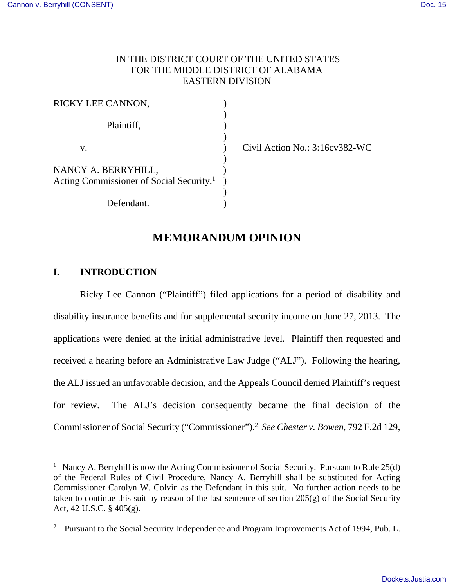## IN THE DISTRICT COURT OF THE UNITED STATES FOR THE MIDDLE DISTRICT OF ALABAMA EASTERN DIVISION

| RICKY LEE CANNON,                                    |  |
|------------------------------------------------------|--|
|                                                      |  |
| Plaintiff,                                           |  |
|                                                      |  |
| V.                                                   |  |
|                                                      |  |
| NANCY A. BERRYHILL,                                  |  |
| Acting Commissioner of Social Security, <sup>1</sup> |  |
|                                                      |  |
| Defendant.                                           |  |

Civil Action No.:  $3:16cv382$ -WC

# **MEMORANDUM OPINION**

### **I. INTRODUCTION**

<u>.</u>

Ricky Lee Cannon ("Plaintiff") filed applications for a period of disability and disability insurance benefits and for supplemental security income on June 27, 2013. The applications were denied at the initial administrative level. Plaintiff then requested and received a hearing before an Administrative Law Judge ("ALJ"). Following the hearing, the ALJ issued an unfavorable decision, and the Appeals Council denied Plaintiff's request for review. The ALJ's decision consequently became the final decision of the Commissioner of Social Security ("Commissioner").<sup>2</sup> *See Chester v. Bowen*, 792 F.2d 129,

<sup>&</sup>lt;sup>1</sup> Nancy A. Berryhill is now the Acting Commissioner of Social Security. Pursuant to Rule  $25(d)$ of the Federal Rules of Civil Procedure, Nancy A. Berryhill shall be substituted for Acting Commissioner Carolyn W. Colvin as the Defendant in this suit. No further action needs to be taken to continue this suit by reason of the last sentence of section 205(g) of the Social Security Act, 42 U.S.C. § 405(g).

<sup>&</sup>lt;sup>2</sup> Pursuant to the Social Security Independence and Program Improvements Act of 1994, Pub. L.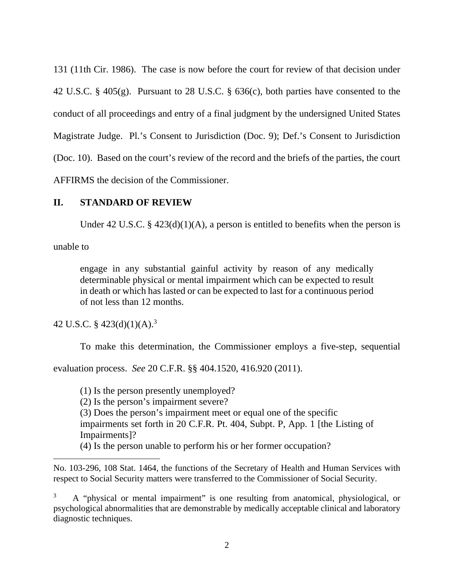131 (11th Cir. 1986). The case is now before the court for review of that decision under 42 U.S.C. § 405(g). Pursuant to 28 U.S.C. § 636(c), both parties have consented to the conduct of all proceedings and entry of a final judgment by the undersigned United States Magistrate Judge. Pl.'s Consent to Jurisdiction (Doc. 9); Def.'s Consent to Jurisdiction (Doc. 10). Based on the court's review of the record and the briefs of the parties, the court AFFIRMS the decision of the Commissioner.

## **II. STANDARD OF REVIEW**

Under 42 U.S.C. §  $423(d)(1)(A)$ , a person is entitled to benefits when the person is

unable to

 $\overline{a}$ 

engage in any substantial gainful activity by reason of any medically determinable physical or mental impairment which can be expected to result in death or which has lasted or can be expected to last for a continuous period of not less than 12 months.

42 U.S.C. §  $423(d)(1)(A).<sup>3</sup>$ 

To make this determination, the Commissioner employs a five-step, sequential

evaluation process. *See* 20 C.F.R. §§ 404.1520, 416.920 (2011).

(1) Is the person presently unemployed?

(2) Is the person's impairment severe?

(3) Does the person's impairment meet or equal one of the specific

impairments set forth in 20 C.F.R. Pt. 404, Subpt. P, App. 1 [the Listing of Impairments]?

(4) Is the person unable to perform his or her former occupation?

No. 103-296, 108 Stat. 1464, the functions of the Secretary of Health and Human Services with respect to Social Security matters were transferred to the Commissioner of Social Security.

<sup>3</sup> A "physical or mental impairment" is one resulting from anatomical, physiological, or psychological abnormalities that are demonstrable by medically acceptable clinical and laboratory diagnostic techniques.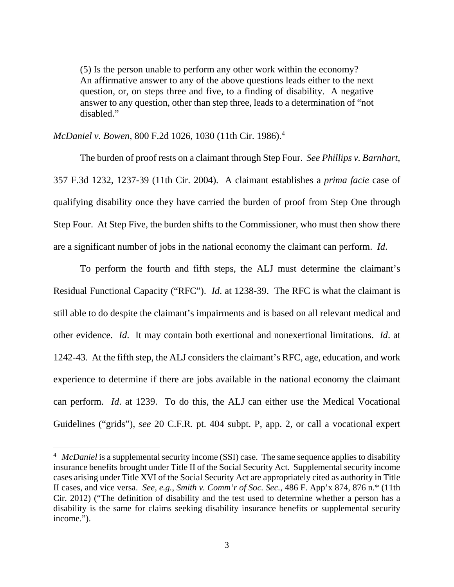(5) Is the person unable to perform any other work within the economy? An affirmative answer to any of the above questions leads either to the next question, or, on steps three and five, to a finding of disability. A negative answer to any question, other than step three, leads to a determination of "not disabled."

*McDaniel v. Bowen*, 800 F.2d 1026, 1030 (11th Cir. 1986).<sup>4</sup>

 $\overline{a}$ 

 The burden of proof rests on a claimant through Step Four. *See Phillips v. Barnhart*, 357 F.3d 1232, 1237-39 (11th Cir. 2004). A claimant establishes a *prima facie* case of qualifying disability once they have carried the burden of proof from Step One through Step Four. At Step Five, the burden shifts to the Commissioner, who must then show there are a significant number of jobs in the national economy the claimant can perform. *Id*.

 To perform the fourth and fifth steps, the ALJ must determine the claimant's Residual Functional Capacity ("RFC"). *Id*. at 1238-39. The RFC is what the claimant is still able to do despite the claimant's impairments and is based on all relevant medical and other evidence. *Id*. It may contain both exertional and nonexertional limitations. *Id*. at 1242-43. At the fifth step, the ALJ considers the claimant's RFC, age, education, and work experience to determine if there are jobs available in the national economy the claimant can perform. *Id*. at 1239. To do this, the ALJ can either use the Medical Vocational Guidelines ("grids"), *see* 20 C.F.R. pt. 404 subpt. P, app. 2, or call a vocational expert

<sup>&</sup>lt;sup>4</sup> McDaniel is a supplemental security income (SSI) case. The same sequence applies to disability insurance benefits brought under Title II of the Social Security Act. Supplemental security income cases arising under Title XVI of the Social Security Act are appropriately cited as authority in Title II cases, and vice versa. *See, e.g.*, *Smith v. Comm'r of Soc. Sec.*, 486 F. App'x 874, 876 n.\* (11th Cir. 2012) ("The definition of disability and the test used to determine whether a person has a disability is the same for claims seeking disability insurance benefits or supplemental security income.").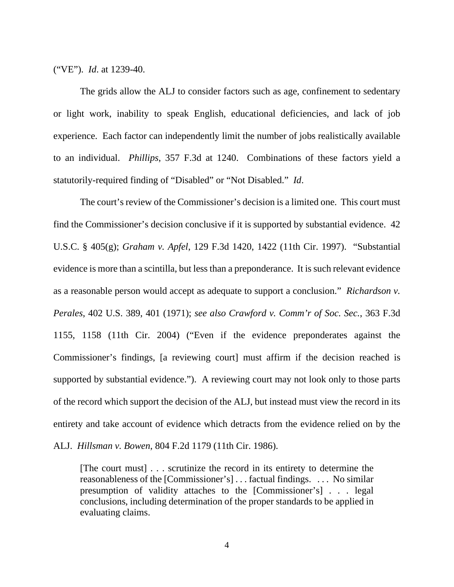("VE"). *Id*. at 1239-40.

 The grids allow the ALJ to consider factors such as age, confinement to sedentary or light work, inability to speak English, educational deficiencies, and lack of job experience. Each factor can independently limit the number of jobs realistically available to an individual. *Phillips*, 357 F.3d at 1240. Combinations of these factors yield a statutorily-required finding of "Disabled" or "Not Disabled." *Id*.

 The court's review of the Commissioner's decision is a limited one. This court must find the Commissioner's decision conclusive if it is supported by substantial evidence. 42 U.S.C. § 405(g); *Graham v. Apfel*, 129 F.3d 1420, 1422 (11th Cir. 1997). "Substantial evidence is more than a scintilla, but less than a preponderance. It is such relevant evidence as a reasonable person would accept as adequate to support a conclusion." *Richardson v. Perales*, 402 U.S. 389, 401 (1971); *see also Crawford v. Comm'r of Soc. Sec.*, 363 F.3d 1155, 1158 (11th Cir. 2004) ("Even if the evidence preponderates against the Commissioner's findings, [a reviewing court] must affirm if the decision reached is supported by substantial evidence."). A reviewing court may not look only to those parts of the record which support the decision of the ALJ, but instead must view the record in its entirety and take account of evidence which detracts from the evidence relied on by the

ALJ. *Hillsman v. Bowen*, 804 F.2d 1179 (11th Cir. 1986).

[The court must] . . . scrutinize the record in its entirety to determine the reasonableness of the [Commissioner's] . . . factual findings. . . . No similar presumption of validity attaches to the [Commissioner's] . . . legal conclusions, including determination of the proper standards to be applied in evaluating claims.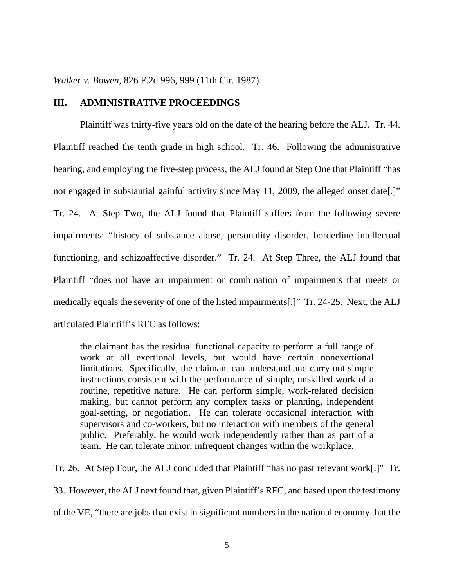*Walker v. Bowen*, 826 F.2d 996, 999 (11th Cir. 1987).

#### **III. ADMINISTRATIVE PROCEEDINGS**

Plaintiff was thirty-five years old on the date of the hearing before the ALJ. Tr. 44. Plaintiff reached the tenth grade in high school. Tr. 46. Following the administrative hearing, and employing the five-step process, the ALJ found at Step One that Plaintiff "has not engaged in substantial gainful activity since May 11, 2009, the alleged onset date[.]" Tr. 24. At Step Two, the ALJ found that Plaintiff suffers from the following severe impairments: "history of substance abuse, personality disorder, borderline intellectual functioning, and schizoaffective disorder." Tr. 24. At Step Three, the ALJ found that Plaintiff "does not have an impairment or combination of impairments that meets or medically equals the severity of one of the listed impairments[.]" Tr. 24-25. Next, the ALJ articulated Plaintiff's RFC as follows:

the claimant has the residual functional capacity to perform a full range of work at all exertional levels, but would have certain nonexertional limitations. Specifically, the claimant can understand and carry out simple instructions consistent with the performance of simple, unskilled work of a routine, repetitive nature. He can perform simple, work-related decision making, but cannot perform any complex tasks or planning, independent goal-setting, or negotiation. He can tolerate occasional interaction with supervisors and co-workers, but no interaction with members of the general public. Preferably, he would work independently rather than as part of a team. He can tolerate minor, infrequent changes within the workplace.

Tr. 26. At Step Four, the ALJ concluded that Plaintiff "has no past relevant work[.]" Tr. 33. However, the ALJ next found that, given Plaintiff's RFC, and based upon the testimony of the VE, "there are jobs that exist in significant numbers in the national economy that the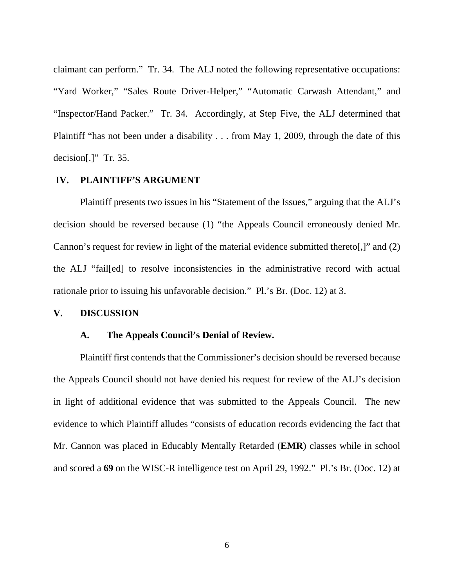claimant can perform." Tr. 34. The ALJ noted the following representative occupations: "Yard Worker," "Sales Route Driver-Helper," "Automatic Carwash Attendant," and "Inspector/Hand Packer." Tr. 34. Accordingly, at Step Five, the ALJ determined that Plaintiff "has not been under a disability . . . from May 1, 2009, through the date of this decision[.]" Tr. 35.

#### **IV. PLAINTIFF'S ARGUMENT**

 Plaintiff presents two issues in his "Statement of the Issues," arguing that the ALJ's decision should be reversed because (1) "the Appeals Council erroneously denied Mr. Cannon's request for review in light of the material evidence submitted thereto[,]" and (2) the ALJ "fail[ed] to resolve inconsistencies in the administrative record with actual rationale prior to issuing his unfavorable decision." Pl.'s Br. (Doc. 12) at 3.

#### **V. DISCUSSION**

#### **A. The Appeals Council's Denial of Review.**

Plaintiff first contends that the Commissioner's decision should be reversed because the Appeals Council should not have denied his request for review of the ALJ's decision in light of additional evidence that was submitted to the Appeals Council. The new evidence to which Plaintiff alludes "consists of education records evidencing the fact that Mr. Cannon was placed in Educably Mentally Retarded (**EMR**) classes while in school and scored a **69** on the WISC-R intelligence test on April 29, 1992." Pl.'s Br. (Doc. 12) at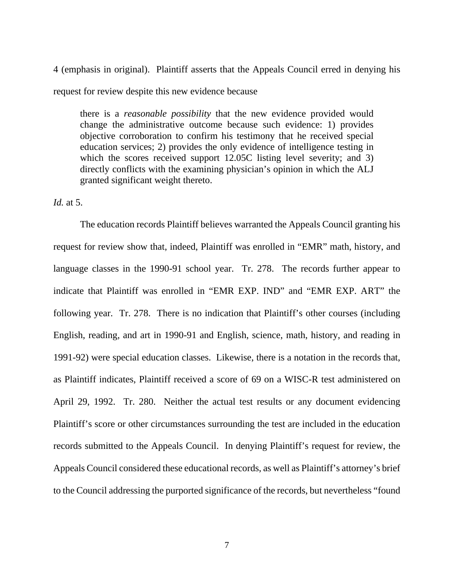4 (emphasis in original). Plaintiff asserts that the Appeals Council erred in denying his request for review despite this new evidence because

there is a *reasonable possibility* that the new evidence provided would change the administrative outcome because such evidence: 1) provides objective corroboration to confirm his testimony that he received special education services; 2) provides the only evidence of intelligence testing in which the scores received support 12.05C listing level severity; and 3) directly conflicts with the examining physician's opinion in which the ALJ granted significant weight thereto.

### *Id.* at 5.

 The education records Plaintiff believes warranted the Appeals Council granting his request for review show that, indeed, Plaintiff was enrolled in "EMR" math, history, and language classes in the 1990-91 school year. Tr. 278. The records further appear to indicate that Plaintiff was enrolled in "EMR EXP. IND" and "EMR EXP. ART" the following year. Tr. 278. There is no indication that Plaintiff's other courses (including English, reading, and art in 1990-91 and English, science, math, history, and reading in 1991-92) were special education classes. Likewise, there is a notation in the records that, as Plaintiff indicates, Plaintiff received a score of 69 on a WISC-R test administered on April 29, 1992. Tr. 280. Neither the actual test results or any document evidencing Plaintiff's score or other circumstances surrounding the test are included in the education records submitted to the Appeals Council. In denying Plaintiff's request for review, the Appeals Council considered these educational records, as well as Plaintiff's attorney's brief to the Council addressing the purported significance of the records, but nevertheless "found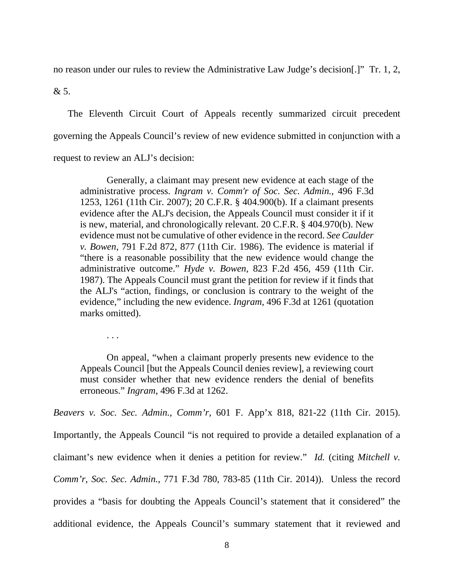no reason under our rules to review the Administrative Law Judge's decision[.]" Tr. 1, 2,

& 5.

 The Eleventh Circuit Court of Appeals recently summarized circuit precedent governing the Appeals Council's review of new evidence submitted in conjunction with a request to review an ALJ's decision:

 Generally, a claimant may present new evidence at each stage of the administrative process. *Ingram v. Comm'r of Soc. Sec. Admin.*, 496 F.3d 1253, 1261 (11th Cir. 2007); 20 C.F.R. § 404.900(b). If a claimant presents evidence after the ALJ's decision, the Appeals Council must consider it if it is new, material, and chronologically relevant. 20 C.F.R. § 404.970(b). New evidence must not be cumulative of other evidence in the record. *See Caulder v. Bowen*, 791 F.2d 872, 877 (11th Cir. 1986). The evidence is material if "there is a reasonable possibility that the new evidence would change the administrative outcome." *Hyde v. Bowen*, 823 F.2d 456, 459 (11th Cir. 1987). The Appeals Council must grant the petition for review if it finds that the ALJ's "action, findings, or conclusion is contrary to the weight of the evidence," including the new evidence. *Ingram*, 496 F.3d at 1261 (quotation marks omitted).

. . .

 On appeal, "when a claimant properly presents new evidence to the Appeals Council [but the Appeals Council denies review], a reviewing court must consider whether that new evidence renders the denial of benefits erroneous." *Ingram*, 496 F.3d at 1262.

*Beavers v. Soc. Sec. Admin., Comm'r*, 601 F. App'x 818, 821-22 (11th Cir. 2015). Importantly, the Appeals Council "is not required to provide a detailed explanation of a claimant's new evidence when it denies a petition for review." *Id.* (citing *Mitchell v. Comm'r, Soc. Sec. Admin.*, 771 F.3d 780, 783-85 (11th Cir. 2014)). Unless the record provides a "basis for doubting the Appeals Council's statement that it considered" the additional evidence, the Appeals Council's summary statement that it reviewed and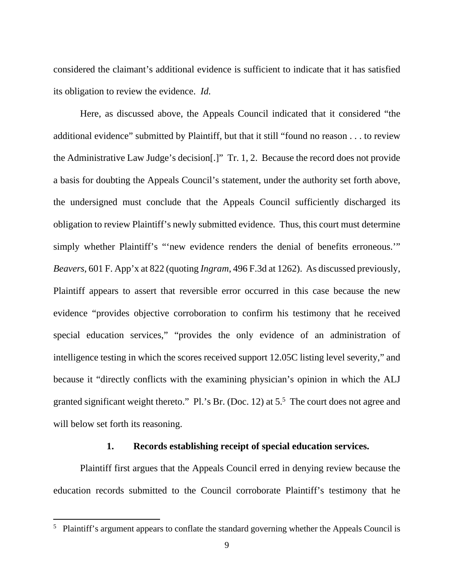considered the claimant's additional evidence is sufficient to indicate that it has satisfied its obligation to review the evidence. *Id.*

 Here, as discussed above, the Appeals Council indicated that it considered "the additional evidence" submitted by Plaintiff, but that it still "found no reason . . . to review the Administrative Law Judge's decision[.]" Tr. 1, 2. Because the record does not provide a basis for doubting the Appeals Council's statement, under the authority set forth above, the undersigned must conclude that the Appeals Council sufficiently discharged its obligation to review Plaintiff's newly submitted evidence. Thus, this court must determine simply whether Plaintiff's "'new evidence renders the denial of benefits erroneous.'" *Beavers*, 601 F. App'x at 822 (quoting *Ingram*, 496 F.3d at 1262). As discussed previously, Plaintiff appears to assert that reversible error occurred in this case because the new evidence "provides objective corroboration to confirm his testimony that he received special education services," "provides the only evidence of an administration of intelligence testing in which the scores received support 12.05C listing level severity," and because it "directly conflicts with the examining physician's opinion in which the ALJ granted significant weight thereto." Pl.'s Br. (Doc. 12) at  $5<sup>5</sup>$  The court does not agree and will below set forth its reasoning.

## **1. Records establishing receipt of special education services.**

 Plaintiff first argues that the Appeals Council erred in denying review because the education records submitted to the Council corroborate Plaintiff's testimony that he

 $\overline{a}$ 

<sup>&</sup>lt;sup>5</sup> Plaintiff's argument appears to conflate the standard governing whether the Appeals Council is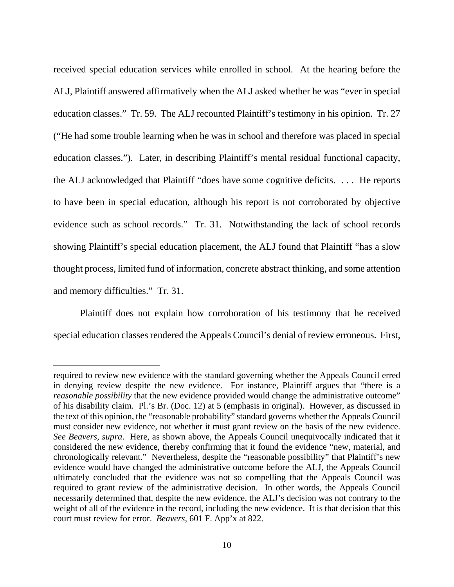received special education services while enrolled in school. At the hearing before the ALJ, Plaintiff answered affirmatively when the ALJ asked whether he was "ever in special education classes." Tr. 59. The ALJ recounted Plaintiff's testimony in his opinion. Tr. 27 ("He had some trouble learning when he was in school and therefore was placed in special education classes."). Later, in describing Plaintiff's mental residual functional capacity, the ALJ acknowledged that Plaintiff "does have some cognitive deficits. . . . He reports to have been in special education, although his report is not corroborated by objective evidence such as school records." Tr. 31. Notwithstanding the lack of school records showing Plaintiff's special education placement, the ALJ found that Plaintiff "has a slow thought process, limited fund of information, concrete abstract thinking, and some attention and memory difficulties." Tr. 31.

 Plaintiff does not explain how corroboration of his testimony that he received special education classes rendered the Appeals Council's denial of review erroneous. First,

 $\overline{a}$ 

required to review new evidence with the standard governing whether the Appeals Council erred in denying review despite the new evidence. For instance, Plaintiff argues that "there is a *reasonable possibility* that the new evidence provided would change the administrative outcome" of his disability claim. Pl.'s Br. (Doc. 12) at 5 (emphasis in original). However, as discussed in the text of this opinion, the "reasonable probability" standard governs whether the Appeals Council must consider new evidence, not whether it must grant review on the basis of the new evidence. *See Beavers, supra*. Here, as shown above, the Appeals Council unequivocally indicated that it considered the new evidence, thereby confirming that it found the evidence "new, material, and chronologically relevant." Nevertheless, despite the "reasonable possibility" that Plaintiff's new evidence would have changed the administrative outcome before the ALJ, the Appeals Council ultimately concluded that the evidence was not so compelling that the Appeals Council was required to grant review of the administrative decision. In other words, the Appeals Council necessarily determined that, despite the new evidence, the ALJ's decision was not contrary to the weight of all of the evidence in the record, including the new evidence. It is that decision that this court must review for error. *Beavers*, 601 F. App'x at 822.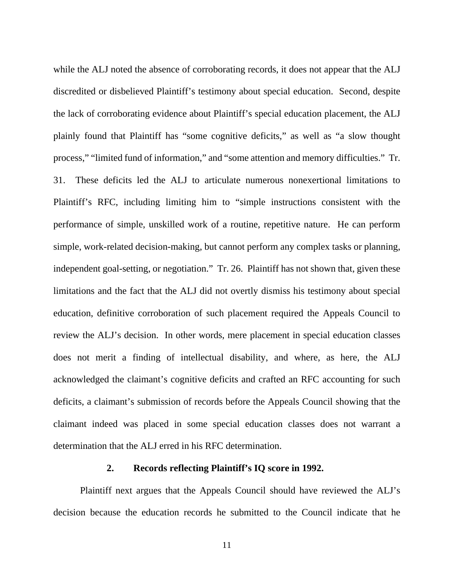while the ALJ noted the absence of corroborating records, it does not appear that the ALJ discredited or disbelieved Plaintiff's testimony about special education. Second, despite the lack of corroborating evidence about Plaintiff's special education placement, the ALJ plainly found that Plaintiff has "some cognitive deficits," as well as "a slow thought process," "limited fund of information," and "some attention and memory difficulties." Tr. 31. These deficits led the ALJ to articulate numerous nonexertional limitations to Plaintiff's RFC, including limiting him to "simple instructions consistent with the performance of simple, unskilled work of a routine, repetitive nature. He can perform simple, work-related decision-making, but cannot perform any complex tasks or planning, independent goal-setting, or negotiation." Tr. 26. Plaintiff has not shown that, given these limitations and the fact that the ALJ did not overtly dismiss his testimony about special education, definitive corroboration of such placement required the Appeals Council to review the ALJ's decision. In other words, mere placement in special education classes does not merit a finding of intellectual disability, and where, as here, the ALJ acknowledged the claimant's cognitive deficits and crafted an RFC accounting for such deficits, a claimant's submission of records before the Appeals Council showing that the claimant indeed was placed in some special education classes does not warrant a determination that the ALJ erred in his RFC determination.

#### **2. Records reflecting Plaintiff's IQ score in 1992.**

 Plaintiff next argues that the Appeals Council should have reviewed the ALJ's decision because the education records he submitted to the Council indicate that he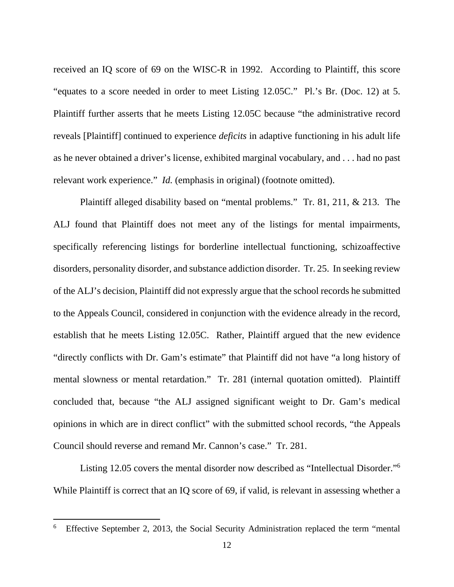received an IQ score of 69 on the WISC-R in 1992. According to Plaintiff, this score "equates to a score needed in order to meet Listing 12.05C." Pl.'s Br. (Doc. 12) at 5. Plaintiff further asserts that he meets Listing 12.05C because "the administrative record reveals [Plaintiff] continued to experience *deficits* in adaptive functioning in his adult life as he never obtained a driver's license, exhibited marginal vocabulary, and . . . had no past relevant work experience." *Id.* (emphasis in original) (footnote omitted).

 Plaintiff alleged disability based on "mental problems." Tr. 81, 211, & 213. The ALJ found that Plaintiff does not meet any of the listings for mental impairments, specifically referencing listings for borderline intellectual functioning, schizoaffective disorders, personality disorder, and substance addiction disorder. Tr. 25. In seeking review of the ALJ's decision, Plaintiff did not expressly argue that the school records he submitted to the Appeals Council, considered in conjunction with the evidence already in the record, establish that he meets Listing 12.05C. Rather, Plaintiff argued that the new evidence "directly conflicts with Dr. Gam's estimate" that Plaintiff did not have "a long history of mental slowness or mental retardation." Tr. 281 (internal quotation omitted). Plaintiff concluded that, because "the ALJ assigned significant weight to Dr. Gam's medical opinions in which are in direct conflict" with the submitted school records, "the Appeals Council should reverse and remand Mr. Cannon's case." Tr. 281.

 Listing 12.05 covers the mental disorder now described as "Intellectual Disorder."<sup>6</sup> While Plaintiff is correct that an IQ score of 69, if valid, is relevant in assessing whether a

 $\overline{a}$ 

<sup>6</sup> Effective September 2, 2013, the Social Security Administration replaced the term "mental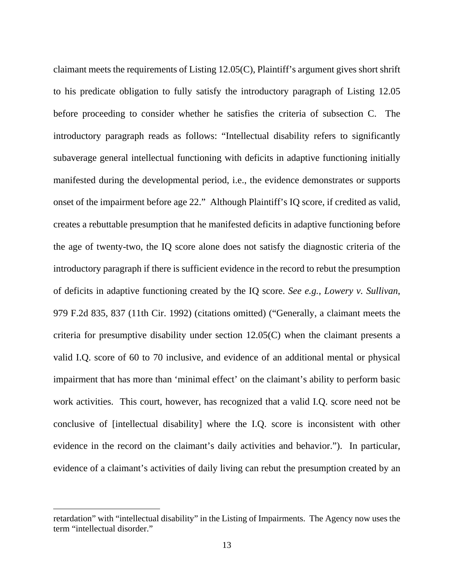claimant meets the requirements of Listing 12.05(C), Plaintiff's argument gives short shrift to his predicate obligation to fully satisfy the introductory paragraph of Listing 12.05 before proceeding to consider whether he satisfies the criteria of subsection C. The introductory paragraph reads as follows: "Intellectual disability refers to significantly subaverage general intellectual functioning with deficits in adaptive functioning initially manifested during the developmental period, i.e., the evidence demonstrates or supports onset of the impairment before age 22." Although Plaintiff's IQ score, if credited as valid, creates a rebuttable presumption that he manifested deficits in adaptive functioning before the age of twenty-two, the IQ score alone does not satisfy the diagnostic criteria of the introductory paragraph if there is sufficient evidence in the record to rebut the presumption of deficits in adaptive functioning created by the IQ score. *See e.g., Lowery v. Sullivan*, 979 F.2d 835, 837 (11th Cir. 1992) (citations omitted) ("Generally, a claimant meets the criteria for presumptive disability under section 12.05(C) when the claimant presents a valid I.Q. score of 60 to 70 inclusive, and evidence of an additional mental or physical impairment that has more than 'minimal effect' on the claimant's ability to perform basic work activities. This court, however, has recognized that a valid I.Q. score need not be conclusive of [intellectual disability] where the I.Q. score is inconsistent with other evidence in the record on the claimant's daily activities and behavior."). In particular, evidence of a claimant's activities of daily living can rebut the presumption created by an

 $\overline{a}$ 

retardation" with "intellectual disability" in the Listing of Impairments. The Agency now uses the term "intellectual disorder."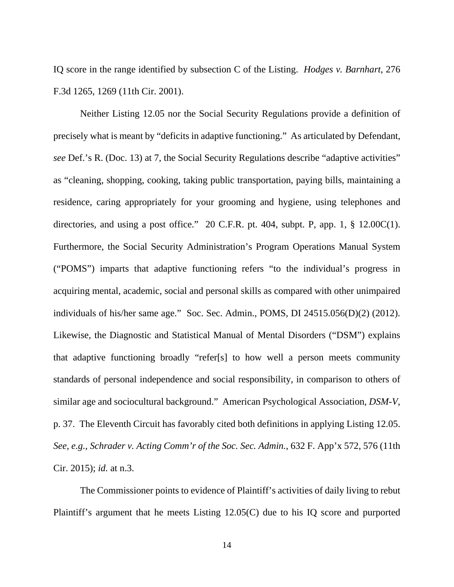IQ score in the range identified by subsection C of the Listing. *Hodges v. Barnhart*, 276 F.3d 1265, 1269 (11th Cir. 2001).

 Neither Listing 12.05 nor the Social Security Regulations provide a definition of precisely what is meant by "deficits in adaptive functioning." As articulated by Defendant, *see* Def.'s R. (Doc. 13) at 7, the Social Security Regulations describe "adaptive activities" as "cleaning, shopping, cooking, taking public transportation, paying bills, maintaining a residence, caring appropriately for your grooming and hygiene, using telephones and directories, and using a post office." 20 C.F.R. pt. 404, subpt. P, app. 1, § 12.00C(1). Furthermore, the Social Security Administration's Program Operations Manual System ("POMS") imparts that adaptive functioning refers "to the individual's progress in acquiring mental, academic, social and personal skills as compared with other unimpaired individuals of his/her same age." Soc. Sec. Admin., POMS, DI 24515.056(D)(2) (2012). Likewise, the Diagnostic and Statistical Manual of Mental Disorders ("DSM") explains that adaptive functioning broadly "refer[s] to how well a person meets community standards of personal independence and social responsibility, in comparison to others of similar age and sociocultural background." American Psychological Association, *DSM-V*, p. 37. The Eleventh Circuit has favorably cited both definitions in applying Listing 12.05. *See, e.g., Schrader v. Acting Comm'r of the Soc. Sec. Admin.*, 632 F. App'x 572, 576 (11th Cir. 2015); *id.* at n.3.

The Commissioner points to evidence of Plaintiff's activities of daily living to rebut Plaintiff's argument that he meets Listing 12.05(C) due to his IQ score and purported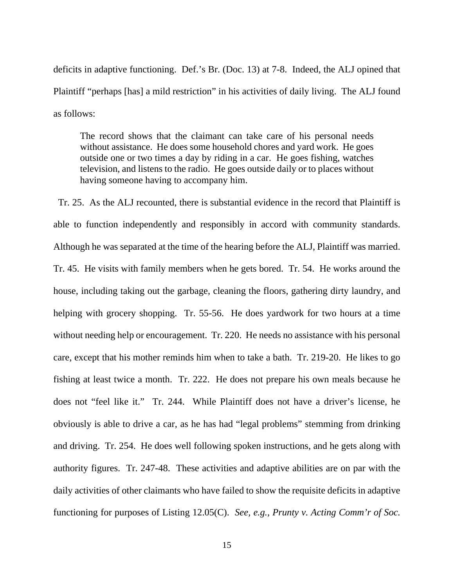deficits in adaptive functioning. Def.'s Br. (Doc. 13) at 7-8. Indeed, the ALJ opined that Plaintiff "perhaps [has] a mild restriction" in his activities of daily living. The ALJ found as follows:

The record shows that the claimant can take care of his personal needs without assistance. He does some household chores and yard work. He goes outside one or two times a day by riding in a car. He goes fishing, watches television, and listens to the radio. He goes outside daily or to places without having someone having to accompany him.

 Tr. 25. As the ALJ recounted, there is substantial evidence in the record that Plaintiff is able to function independently and responsibly in accord with community standards. Although he was separated at the time of the hearing before the ALJ, Plaintiff was married. Tr. 45. He visits with family members when he gets bored. Tr. 54. He works around the house, including taking out the garbage, cleaning the floors, gathering dirty laundry, and helping with grocery shopping. Tr. 55-56. He does yardwork for two hours at a time without needing help or encouragement. Tr. 220. He needs no assistance with his personal care, except that his mother reminds him when to take a bath. Tr. 219-20. He likes to go fishing at least twice a month. Tr. 222. He does not prepare his own meals because he does not "feel like it." Tr. 244. While Plaintiff does not have a driver's license, he obviously is able to drive a car, as he has had "legal problems" stemming from drinking and driving. Tr. 254. He does well following spoken instructions, and he gets along with authority figures. Tr. 247-48. These activities and adaptive abilities are on par with the daily activities of other claimants who have failed to show the requisite deficits in adaptive functioning for purposes of Listing 12.05(C). *See, e.g., Prunty v. Acting Comm'r of Soc.*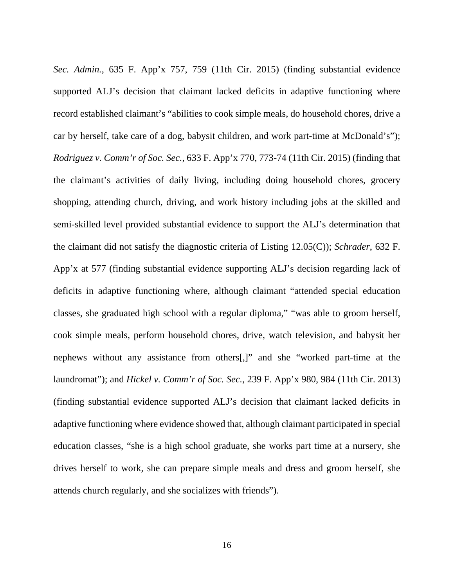*Sec. Admin.*, 635 F. App'x 757, 759 (11th Cir. 2015) (finding substantial evidence supported ALJ's decision that claimant lacked deficits in adaptive functioning where record established claimant's "abilities to cook simple meals, do household chores, drive a car by herself, take care of a dog, babysit children, and work part-time at McDonald's"); *Rodriguez v. Comm'r of Soc. Sec.*, 633 F. App'x 770, 773-74 (11th Cir. 2015) (finding that the claimant's activities of daily living, including doing household chores, grocery shopping, attending church, driving, and work history including jobs at the skilled and semi-skilled level provided substantial evidence to support the ALJ's determination that the claimant did not satisfy the diagnostic criteria of Listing 12.05(C)); *Schrader*, 632 F. App'x at 577 (finding substantial evidence supporting ALJ's decision regarding lack of deficits in adaptive functioning where, although claimant "attended special education classes, she graduated high school with a regular diploma," "was able to groom herself, cook simple meals, perform household chores, drive, watch television, and babysit her nephews without any assistance from others[,]" and she "worked part-time at the laundromat"); and *Hickel v. Comm'r of Soc. Sec.*, 239 F. App'x 980, 984 (11th Cir. 2013) (finding substantial evidence supported ALJ's decision that claimant lacked deficits in adaptive functioning where evidence showed that, although claimant participated in special education classes, "she is a high school graduate, she works part time at a nursery, she drives herself to work, she can prepare simple meals and dress and groom herself, she attends church regularly, and she socializes with friends").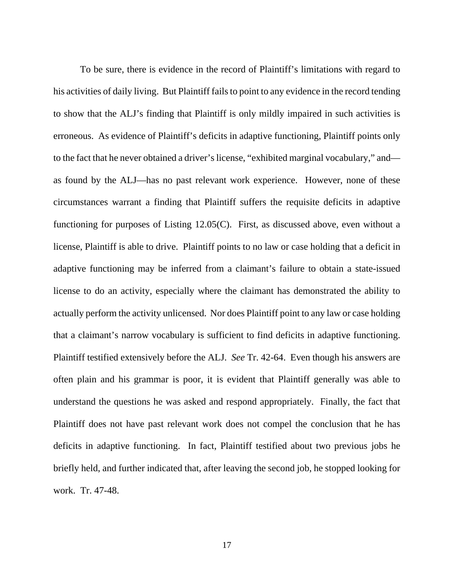To be sure, there is evidence in the record of Plaintiff's limitations with regard to his activities of daily living. But Plaintiff fails to point to any evidence in the record tending to show that the ALJ's finding that Plaintiff is only mildly impaired in such activities is erroneous. As evidence of Plaintiff's deficits in adaptive functioning, Plaintiff points only to the fact that he never obtained a driver's license, "exhibited marginal vocabulary," and as found by the ALJ—has no past relevant work experience. However, none of these circumstances warrant a finding that Plaintiff suffers the requisite deficits in adaptive functioning for purposes of Listing 12.05(C). First, as discussed above, even without a license, Plaintiff is able to drive. Plaintiff points to no law or case holding that a deficit in adaptive functioning may be inferred from a claimant's failure to obtain a state-issued license to do an activity, especially where the claimant has demonstrated the ability to actually perform the activity unlicensed. Nor does Plaintiff point to any law or case holding that a claimant's narrow vocabulary is sufficient to find deficits in adaptive functioning. Plaintiff testified extensively before the ALJ. *See* Tr. 42-64. Even though his answers are often plain and his grammar is poor, it is evident that Plaintiff generally was able to understand the questions he was asked and respond appropriately. Finally, the fact that Plaintiff does not have past relevant work does not compel the conclusion that he has deficits in adaptive functioning. In fact, Plaintiff testified about two previous jobs he briefly held, and further indicated that, after leaving the second job, he stopped looking for work. Tr. 47-48.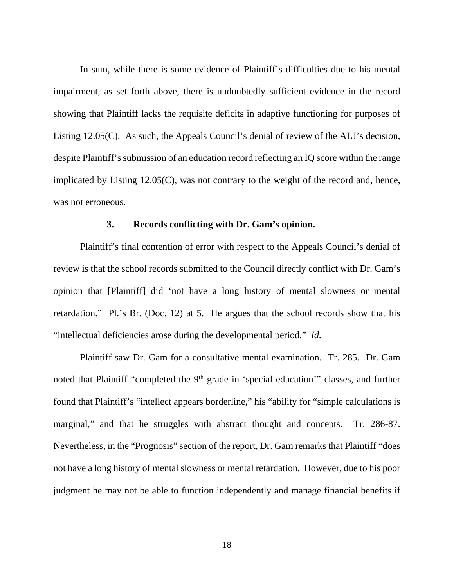In sum, while there is some evidence of Plaintiff's difficulties due to his mental impairment, as set forth above, there is undoubtedly sufficient evidence in the record showing that Plaintiff lacks the requisite deficits in adaptive functioning for purposes of Listing 12.05(C). As such, the Appeals Council's denial of review of the ALJ's decision, despite Plaintiff's submission of an education record reflecting an IQ score within the range implicated by Listing 12.05(C), was not contrary to the weight of the record and, hence, was not erroneous.

### **3. Records conflicting with Dr. Gam's opinion.**

Plaintiff's final contention of error with respect to the Appeals Council's denial of review is that the school records submitted to the Council directly conflict with Dr. Gam's opinion that [Plaintiff] did 'not have a long history of mental slowness or mental retardation." Pl.'s Br. (Doc. 12) at 5. He argues that the school records show that his "intellectual deficiencies arose during the developmental period." *Id.*

Plaintiff saw Dr. Gam for a consultative mental examination. Tr. 285. Dr. Gam noted that Plaintiff "completed the 9<sup>th</sup> grade in 'special education'" classes, and further found that Plaintiff's "intellect appears borderline," his "ability for "simple calculations is marginal," and that he struggles with abstract thought and concepts. Tr. 286-87. Nevertheless, in the "Prognosis" section of the report, Dr. Gam remarks that Plaintiff "does not have a long history of mental slowness or mental retardation. However, due to his poor judgment he may not be able to function independently and manage financial benefits if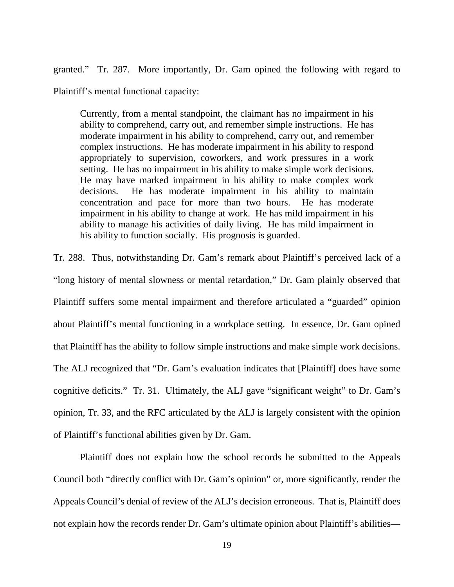granted." Tr. 287. More importantly, Dr. Gam opined the following with regard to

Plaintiff's mental functional capacity:

Currently, from a mental standpoint, the claimant has no impairment in his ability to comprehend, carry out, and remember simple instructions. He has moderate impairment in his ability to comprehend, carry out, and remember complex instructions. He has moderate impairment in his ability to respond appropriately to supervision, coworkers, and work pressures in a work setting. He has no impairment in his ability to make simple work decisions. He may have marked impairment in his ability to make complex work decisions. He has moderate impairment in his ability to maintain concentration and pace for more than two hours. He has moderate impairment in his ability to change at work. He has mild impairment in his ability to manage his activities of daily living. He has mild impairment in his ability to function socially. His prognosis is guarded.

Tr. 288. Thus, notwithstanding Dr. Gam's remark about Plaintiff's perceived lack of a "long history of mental slowness or mental retardation," Dr. Gam plainly observed that Plaintiff suffers some mental impairment and therefore articulated a "guarded" opinion about Plaintiff's mental functioning in a workplace setting. In essence, Dr. Gam opined that Plaintiff has the ability to follow simple instructions and make simple work decisions. The ALJ recognized that "Dr. Gam's evaluation indicates that [Plaintiff] does have some cognitive deficits." Tr. 31. Ultimately, the ALJ gave "significant weight" to Dr. Gam's opinion, Tr. 33, and the RFC articulated by the ALJ is largely consistent with the opinion of Plaintiff's functional abilities given by Dr. Gam.

 Plaintiff does not explain how the school records he submitted to the Appeals Council both "directly conflict with Dr. Gam's opinion" or, more significantly, render the Appeals Council's denial of review of the ALJ's decision erroneous. That is, Plaintiff does not explain how the records render Dr. Gam's ultimate opinion about Plaintiff's abilities—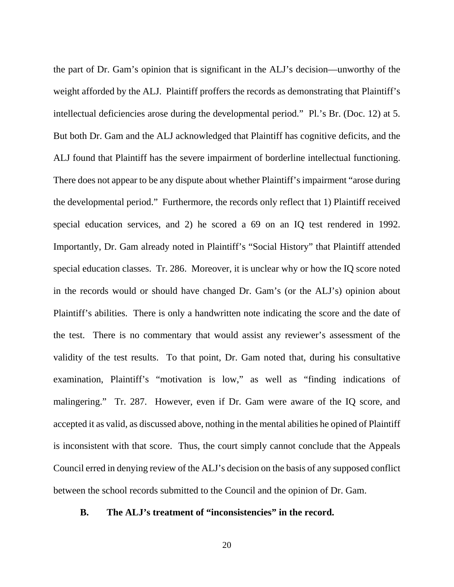the part of Dr. Gam's opinion that is significant in the ALJ's decision—unworthy of the weight afforded by the ALJ. Plaintiff proffers the records as demonstrating that Plaintiff's intellectual deficiencies arose during the developmental period." Pl.'s Br. (Doc. 12) at 5. But both Dr. Gam and the ALJ acknowledged that Plaintiff has cognitive deficits, and the ALJ found that Plaintiff has the severe impairment of borderline intellectual functioning. There does not appear to be any dispute about whether Plaintiff's impairment "arose during the developmental period." Furthermore, the records only reflect that 1) Plaintiff received special education services, and 2) he scored a 69 on an IQ test rendered in 1992. Importantly, Dr. Gam already noted in Plaintiff's "Social History" that Plaintiff attended special education classes. Tr. 286. Moreover, it is unclear why or how the IQ score noted in the records would or should have changed Dr. Gam's (or the ALJ's) opinion about Plaintiff's abilities. There is only a handwritten note indicating the score and the date of the test. There is no commentary that would assist any reviewer's assessment of the validity of the test results. To that point, Dr. Gam noted that, during his consultative examination, Plaintiff's "motivation is low," as well as "finding indications of malingering." Tr. 287. However, even if Dr. Gam were aware of the IQ score, and accepted it as valid, as discussed above, nothing in the mental abilities he opined of Plaintiff is inconsistent with that score. Thus, the court simply cannot conclude that the Appeals Council erred in denying review of the ALJ's decision on the basis of any supposed conflict between the school records submitted to the Council and the opinion of Dr. Gam.

## **B. The ALJ's treatment of "inconsistencies" in the record.**

20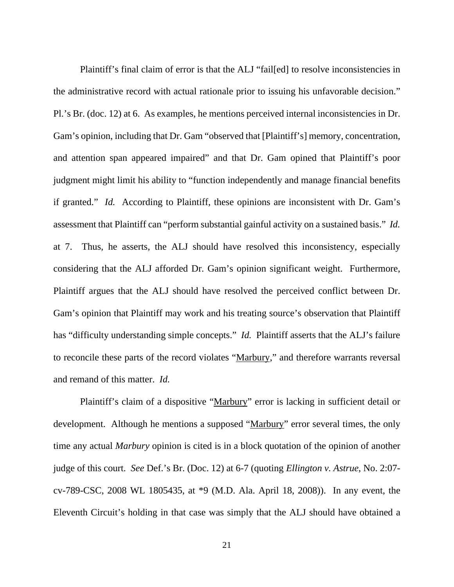Plaintiff's final claim of error is that the ALJ "fail[ed] to resolve inconsistencies in the administrative record with actual rationale prior to issuing his unfavorable decision." Pl.'s Br. (doc. 12) at 6. As examples, he mentions perceived internal inconsistencies in Dr. Gam's opinion, including that Dr. Gam "observed that [Plaintiff's] memory, concentration, and attention span appeared impaired" and that Dr. Gam opined that Plaintiff's poor judgment might limit his ability to "function independently and manage financial benefits if granted." *Id.* According to Plaintiff, these opinions are inconsistent with Dr. Gam's assessment that Plaintiff can "perform substantial gainful activity on a sustained basis." *Id.* at 7. Thus, he asserts, the ALJ should have resolved this inconsistency, especially considering that the ALJ afforded Dr. Gam's opinion significant weight. Furthermore, Plaintiff argues that the ALJ should have resolved the perceived conflict between Dr. Gam's opinion that Plaintiff may work and his treating source's observation that Plaintiff has "difficulty understanding simple concepts." *Id.* Plaintiff asserts that the ALJ's failure to reconcile these parts of the record violates "Marbury," and therefore warrants reversal and remand of this matter. *Id.*

 Plaintiff's claim of a dispositive "Marbury" error is lacking in sufficient detail or development. Although he mentions a supposed "Marbury" error several times, the only time any actual *Marbury* opinion is cited is in a block quotation of the opinion of another judge of this court. *See* Def.'s Br. (Doc. 12) at 6-7 (quoting *Ellington v. Astrue*, No. 2:07 cv-789-CSC, 2008 WL 1805435, at \*9 (M.D. Ala. April 18, 2008)). In any event, the Eleventh Circuit's holding in that case was simply that the ALJ should have obtained a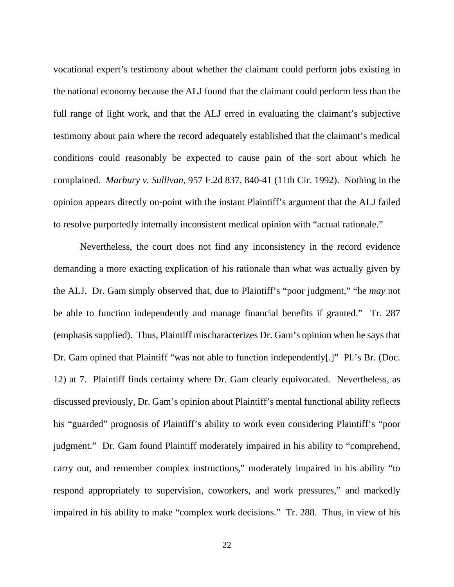vocational expert's testimony about whether the claimant could perform jobs existing in the national economy because the ALJ found that the claimant could perform less than the full range of light work, and that the ALJ erred in evaluating the claimant's subjective testimony about pain where the record adequately established that the claimant's medical conditions could reasonably be expected to cause pain of the sort about which he complained. *Marbury v. Sullivan*, 957 F.2d 837, 840-41 (11th Cir. 1992). Nothing in the opinion appears directly on-point with the instant Plaintiff's argument that the ALJ failed to resolve purportedly internally inconsistent medical opinion with "actual rationale."

 Nevertheless, the court does not find any inconsistency in the record evidence demanding a more exacting explication of his rationale than what was actually given by the ALJ. Dr. Gam simply observed that, due to Plaintiff's "poor judgment," "he *may* not be able to function independently and manage financial benefits if granted." Tr. 287 (emphasis supplied). Thus, Plaintiff mischaracterizes Dr. Gam's opinion when he says that Dr. Gam opined that Plaintiff "was not able to function independently[.]" Pl.'s Br. (Doc. 12) at 7. Plaintiff finds certainty where Dr. Gam clearly equivocated. Nevertheless, as discussed previously, Dr. Gam's opinion about Plaintiff's mental functional ability reflects his "guarded" prognosis of Plaintiff's ability to work even considering Plaintiff's "poor judgment." Dr. Gam found Plaintiff moderately impaired in his ability to "comprehend, carry out, and remember complex instructions," moderately impaired in his ability "to respond appropriately to supervision, coworkers, and work pressures," and markedly impaired in his ability to make "complex work decisions." Tr. 288. Thus, in view of his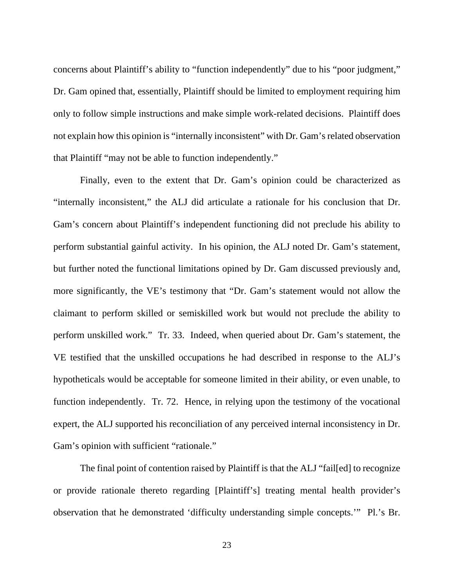concerns about Plaintiff's ability to "function independently" due to his "poor judgment," Dr. Gam opined that, essentially, Plaintiff should be limited to employment requiring him only to follow simple instructions and make simple work-related decisions. Plaintiff does not explain how this opinion is "internally inconsistent" with Dr. Gam's related observation that Plaintiff "may not be able to function independently."

 Finally, even to the extent that Dr. Gam's opinion could be characterized as "internally inconsistent," the ALJ did articulate a rationale for his conclusion that Dr. Gam's concern about Plaintiff's independent functioning did not preclude his ability to perform substantial gainful activity. In his opinion, the ALJ noted Dr. Gam's statement, but further noted the functional limitations opined by Dr. Gam discussed previously and, more significantly, the VE's testimony that "Dr. Gam's statement would not allow the claimant to perform skilled or semiskilled work but would not preclude the ability to perform unskilled work." Tr. 33. Indeed, when queried about Dr. Gam's statement, the VE testified that the unskilled occupations he had described in response to the ALJ's hypotheticals would be acceptable for someone limited in their ability, or even unable, to function independently. Tr. 72. Hence, in relying upon the testimony of the vocational expert, the ALJ supported his reconciliation of any perceived internal inconsistency in Dr. Gam's opinion with sufficient "rationale."

 The final point of contention raised by Plaintiff is that the ALJ "fail[ed] to recognize or provide rationale thereto regarding [Plaintiff's] treating mental health provider's observation that he demonstrated 'difficulty understanding simple concepts.'" Pl.'s Br.